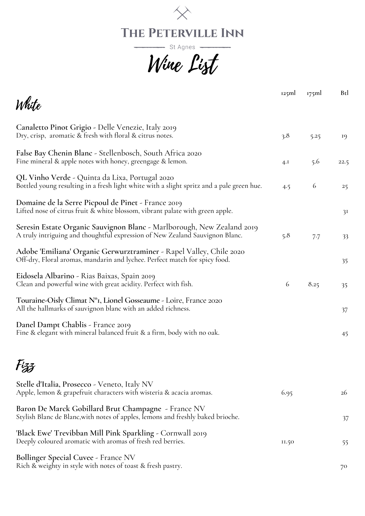

St Agnes

## Wine List

| White                                                                                                                                                  | 125ml | 175ml | <b>Btl</b> |
|--------------------------------------------------------------------------------------------------------------------------------------------------------|-------|-------|------------|
|                                                                                                                                                        |       |       |            |
| Canaletto Pinot Grigio - Delle Venezie, Italy 2019<br>Dry, crisp, aromatic & fresh with floral & citrus notes.                                         | 3.8   | 5.25  | 19         |
| False Bay Chenin Blanc - Stellenbosch, South Africa 2020<br>Fine mineral & apple notes with honey, greengage & lemon.                                  | 4.I   | 5.6   | 22.5       |
| QL Vinho Verde - Quinta da Lixa, Portugal 2020<br>Bottled young resulting in a fresh light white with a slight spritz and a pale green hue.            | 4.5   | 6     | 25         |
| Domaine de la Serre Picpoul de Pinet - France 2019<br>Lifted nose of citrus fruit & white blossom, vibrant palate with green apple.                    |       |       | 3I         |
| Seresin Estate Organic Sauvignon Blanc - Marlborough, New Zealand 2019<br>A truly intriguing and thoughtful expression of New Zealand Sauvignon Blanc. | 5.8   | 7.7   | 33         |
| Adobe 'Emiliana' Organic Gerwurztraminer - Rapel Valley, Chile 2020<br>Off-dry, Floral aromas, mandarin and lychee. Perfect match for spicy food.      |       |       | 35         |
| Eidosela Albarino - Rias Baixas, Spain 2019<br>Clean and powerful wine with great acidity. Perfect with fish.                                          | 6     | 8.25  | 35         |
| Touraine-Oisly Climat N°I, Lionel Gosseaume - Loire, France 2020<br>All the hallmarks of sauvignon blanc with an added richness.                       |       |       | 37         |
| Danel Dampt Chablis - France 2019<br>Fine & elegant with mineral balanced fruit & a firm, body with no oak.                                            |       |       | 45         |
|                                                                                                                                                        |       |       |            |
| $\tau$ .<br>t vzz                                                                                                                                      |       |       |            |
| Stelle d'Italia, Prosecco - Veneto, Italy NV<br>Apple, lemon & grapefruit characters with wisteria & acacia aromas.                                    | 6.95  |       | 26         |
| Baron De Marck Gobillard Brut Champagne - France NV<br>Stylish Blanc de Blanc, with notes of apples, lemons and freshly baked brioche.                 |       |       | 37         |
| 'Black Ewe' Trevibban Mill Pink Sparkling - Cornwall 2019<br>Deeply coloured aromatic with aromas of fresh red berries.                                | II.50 |       | 55         |
| <b>Bollinger Special Cuvee - France NV</b><br>Rich & weighty in style with notes of toast & fresh pastry.                                              |       |       | 70         |